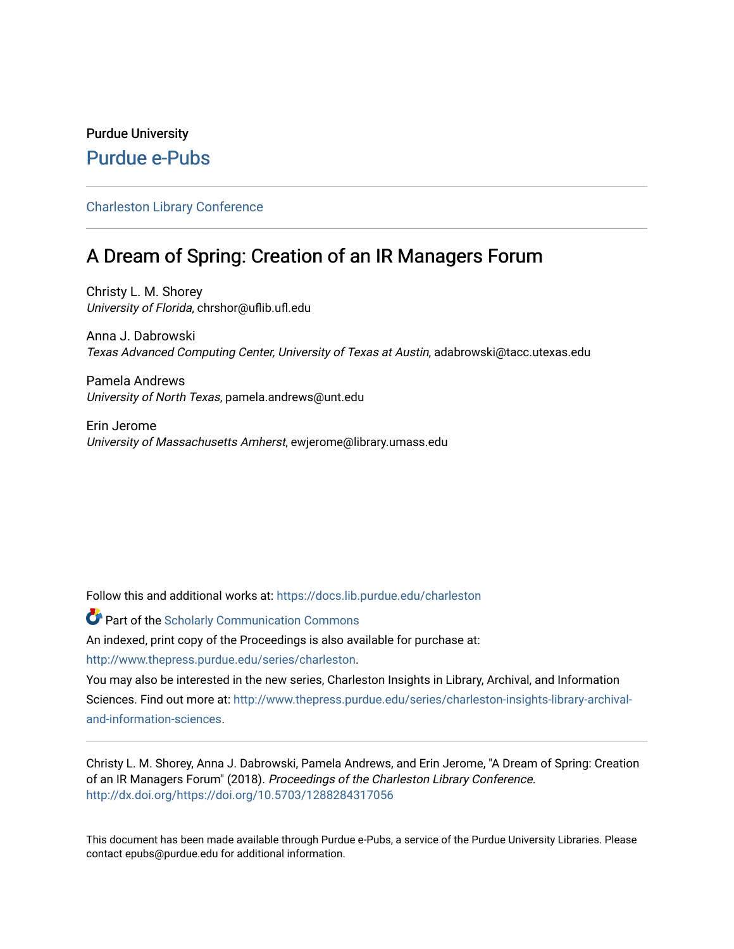# Purdue University [Purdue e-Pubs](https://docs.lib.purdue.edu/)

# [Charleston Library Conference](https://docs.lib.purdue.edu/charleston)

# A Dream of Spring: Creation of an IR Managers Forum

Christy L. M. Shorey University of Florida, chrshor@uflib.ufl.edu

Anna J. Dabrowski Texas Advanced Computing Center, University of Texas at Austin, adabrowski@tacc.utexas.edu

Pamela Andrews University of North Texas, pamela.andrews@unt.edu

Erin Jerome University of Massachusetts Amherst, ewjerome@library.umass.edu

Follow this and additional works at: [https://docs.lib.purdue.edu/charleston](https://docs.lib.purdue.edu/charleston?utm_source=docs.lib.purdue.edu%2Fcharleston%2F2018%2Fscholarlycommunication%2F4&utm_medium=PDF&utm_campaign=PDFCoverPages) 

**Part of the Scholarly Communication Commons** 

An indexed, print copy of the Proceedings is also available for purchase at:

[http://www.thepress.purdue.edu/series/charleston.](http://www.thepress.purdue.edu/series/charleston)

You may also be interested in the new series, Charleston Insights in Library, Archival, and Information Sciences. Find out more at: [http://www.thepress.purdue.edu/series/charleston-insights-library-archival](http://www.thepress.purdue.edu/series/charleston-insights-library-archival-and-information-sciences)[and-information-sciences](http://www.thepress.purdue.edu/series/charleston-insights-library-archival-and-information-sciences).

Christy L. M. Shorey, Anna J. Dabrowski, Pamela Andrews, and Erin Jerome, "A Dream of Spring: Creation of an IR Managers Forum" (2018). Proceedings of the Charleston Library Conference. <http://dx.doi.org/https://doi.org/10.5703/1288284317056>

This document has been made available through Purdue e-Pubs, a service of the Purdue University Libraries. Please contact epubs@purdue.edu for additional information.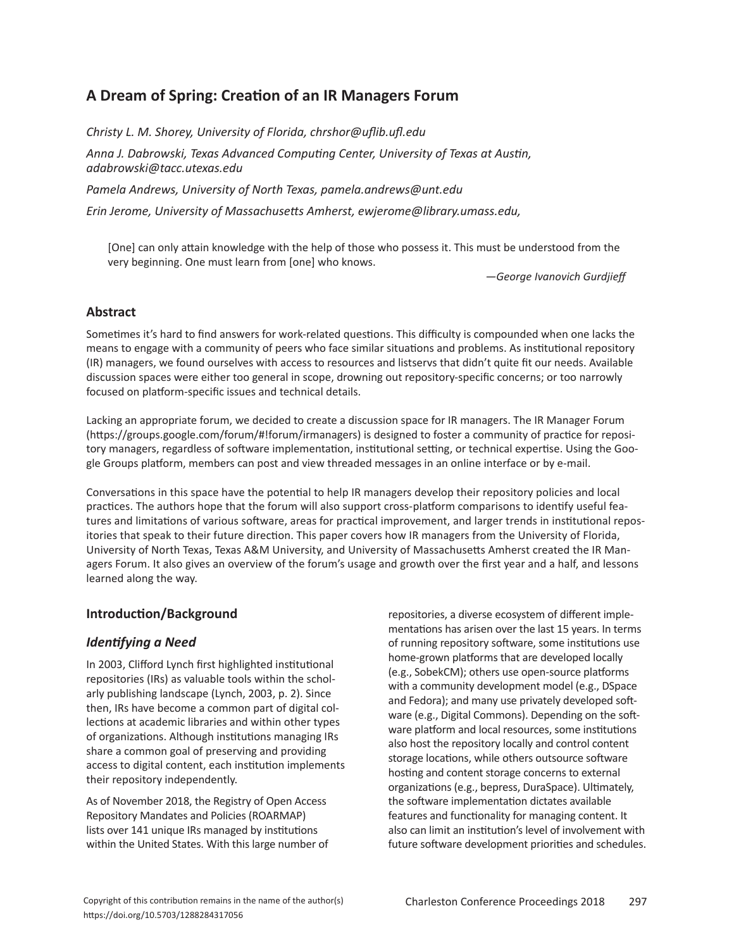# **A Dream of Spring: Creation of an IR Managers Forum**

*Christy L. M. Shorey, University of Florida, chrshor@uflib.ufl.edu*

*Anna J. Dabrowski, Texas Advanced Computing Center, University of Texas at Austin, adabrowski@tacc.utexas.edu*

*Pamela Andrews, University of North Texas, pamela.andrews@unt.edu*

*Erin Jerome, University of Massachusetts Amherst, ewjerome@library.umass.edu,*

[One] can only attain knowledge with the help of those who possess it. This must be understood from the very beginning. One must learn from [one] who knows.

*—George Ivanovich Gurdjieff*

# **Abstract**

Sometimes it's hard to find answers for work-related questions. This difficulty is compounded when one lacks the means to engage with a community of peers who face similar situations and problems. As institutional repository (IR) managers, we found ourselves with access to resources and listservs that didn't quite fit our needs. Available discussion spaces were either too general in scope, drowning out repository-specific concerns; or too narrowly focused on platform-specific issues and technical details.

Lacking an appropriate forum, we decided to create a discussion space for IR managers. The IR Manager Forum (https://groups.google.com/forum/#!forum/irmanagers) is designed to foster a community of practice for repository managers, regardless of software implementation, institutional setting, or technical expertise. Using the Google Groups platform, members can post and view threaded messages in an online interface or by e-mail.

Conversations in this space have the potential to help IR managers develop their repository policies and local practices. The authors hope that the forum will also support cross-platform comparisons to identify useful features and limitations of various software, areas for practical improvement, and larger trends in institutional repositories that speak to their future direction. This paper covers how IR managers from the University of Florida, University of North Texas, Texas A&M University, and University of Massachusetts Amherst created the IR Managers Forum. It also gives an overview of the forum's usage and growth over the first year and a half, and lessons learned along the way.

# **Introduction/Background**

# *Identifying a Need*

In 2003, Clifford Lynch first highlighted institutional repositories (IRs) as valuable tools within the scholarly publishing landscape (Lynch, 2003, p. 2). Since then, IRs have become a common part of digital collections at academic libraries and within other types of organizations. Although institutions managing IRs share a common goal of preserving and providing access to digital content, each institution implements their repository independently.

As of November 2018, the Registry of Open Access Repository Mandates and Policies (ROARMAP) lists over 141 unique IRs managed by institutions within the United States. With this large number of repositories, a diverse ecosystem of different implementations has arisen over the last 15 years. In terms of running repository software, some institutions use home-grown platforms that are developed locally (e.g., SobekCM); others use open-source platforms with a community development model (e.g., DSpace and Fedora); and many use privately developed software (e.g., Digital Commons). Depending on the software platform and local resources, some institutions also host the repository locally and control content storage locations, while others outsource software hosting and content storage concerns to external organizations (e.g., bepress, DuraSpace). Ultimately, the software implementation dictates available features and functionality for managing content. It also can limit an institution's level of involvement with future software development priorities and schedules.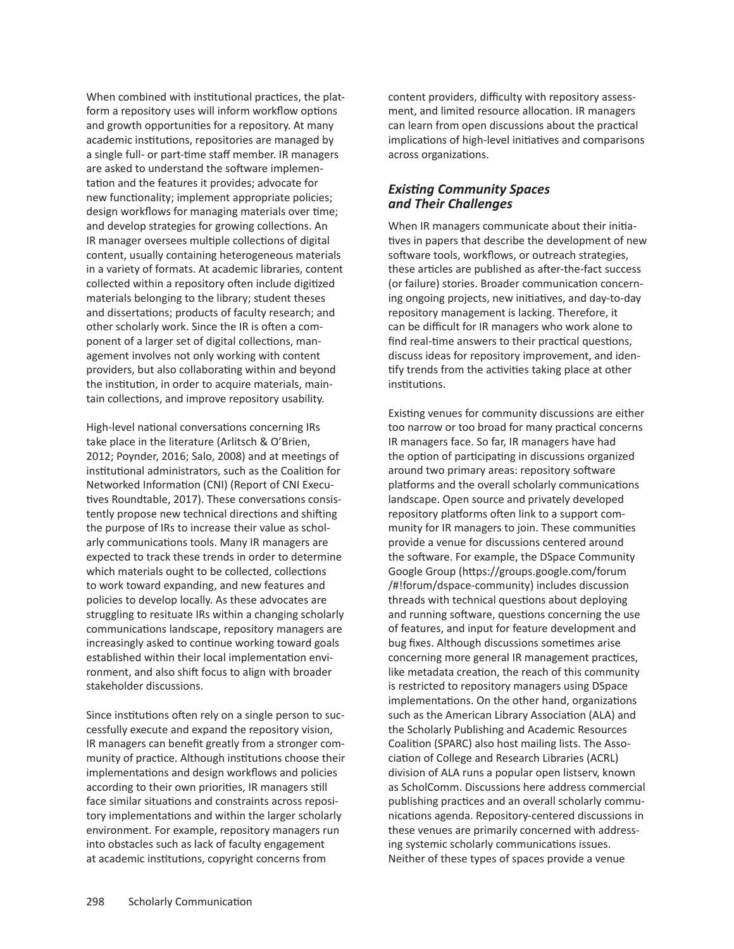When combined with institutional practices, the platform a repository uses will inform workflow options and growth opportunities for a repository. At many academic institutions, repositories are managed by a single full- or part-time staff member. IR managers are asked to understand the software implementation and the features it provides; advocate for new functionality; implement appropriate policies; design workflows for managing materials over time; and develop strategies for growing collections. An IR manager oversees multiple collections of digital content, usually containing heterogeneous materials in a variety of formats. At academic libraries, content collected within a repository often include digitized materials belonging to the library; student theses and dissertations; products of faculty research; and other scholarly work. Since the IR is often a component of a larger set of digital collections, management involves not only working with content providers, but also collaborating within and beyond the institution, in order to acquire materials, maintain collections, and improve repository usability.

High-level national conversations concerning IRs take place in the literature (Arlitsch & O'Brien, 2012; Poynder, 2016; Salo, 2008) and at meetings of institutional administrators, such as the Coalition for Networked Information (CNI) (Report of CNI Executives Roundtable, 2017). These conversations consistently propose new technical directions and shifting the purpose of IRs to increase their value as scholarly communications tools. Many IR managers are expected to track these trends in order to determine which materials ought to be collected, collections to work toward expanding, and new features and policies to develop locally. As these advocates are struggling to resituate IRs within a changing scholarly communications landscape, repository managers are increasingly asked to continue working toward goals established within their local implementation environment, and also shift focus to align with broader stakeholder discussions.

Since institutions often rely on a single person to successfully execute and expand the repository vision, IR managers can benefit greatly from a stronger community of practice. Although institutions choose their implementations and design workflows and policies according to their own priorities, IR managers still face similar situations and constraints across repository implementations and within the larger scholarly environment. For example, repository managers run into obstacles such as lack of faculty engagement at academic institutions, copyright concerns from

content providers, difficulty with repository assessment, and limited resource allocation. IR managers can learn from open discussions about the practical implications of high-level initiatives and comparisons across organizations.

#### *Existing Community Spaces and Their Challenges*

When IR managers communicate about their initiatives in papers that describe the development of new software tools, workflows, or outreach strategies, these articles are published as after-the-fact success (or failure) stories. Broader communication concerning ongoing projects, new initiatives, and day-to-day repository management is lacking. Therefore, it can be difficult for IR managers who work alone to find real-time answers to their practical questions, discuss ideas for repository improvement, and identify trends from the activities taking place at other institutions.

Existing venues for community discussions are either too narrow or too broad for many practical concerns IR managers face. So far, IR managers have had the option of participating in discussions organized around two primary areas: repository software platforms and the overall scholarly communications landscape. Open source and privately developed repository platforms often link to a support community for IR managers to join. These communities provide a venue for discussions centered around the software. For example, the DSpace Community Google Group (https://groups.google.com/forum /#!forum/dspace-community) includes discussion threads with technical questions about deploying and running software, questions concerning the use of features, and input for feature development and bug fixes. Although discussions sometimes arise concerning more general IR management practices, like metadata creation, the reach of this community is restricted to repository managers using DSpace implementations. On the other hand, organizations such as the American Library Association (ALA) and the Scholarly Publishing and Academic Resources Coalition (SPARC) also host mailing lists. The Association of College and Research Libraries (ACRL) division of ALA runs a popular open listserv, known as ScholComm. Discussions here address commercial publishing practices and an overall scholarly communications agenda. Repository-centered discussions in these venues are primarily concerned with addressing systemic scholarly communications issues. Neither of these types of spaces provide a venue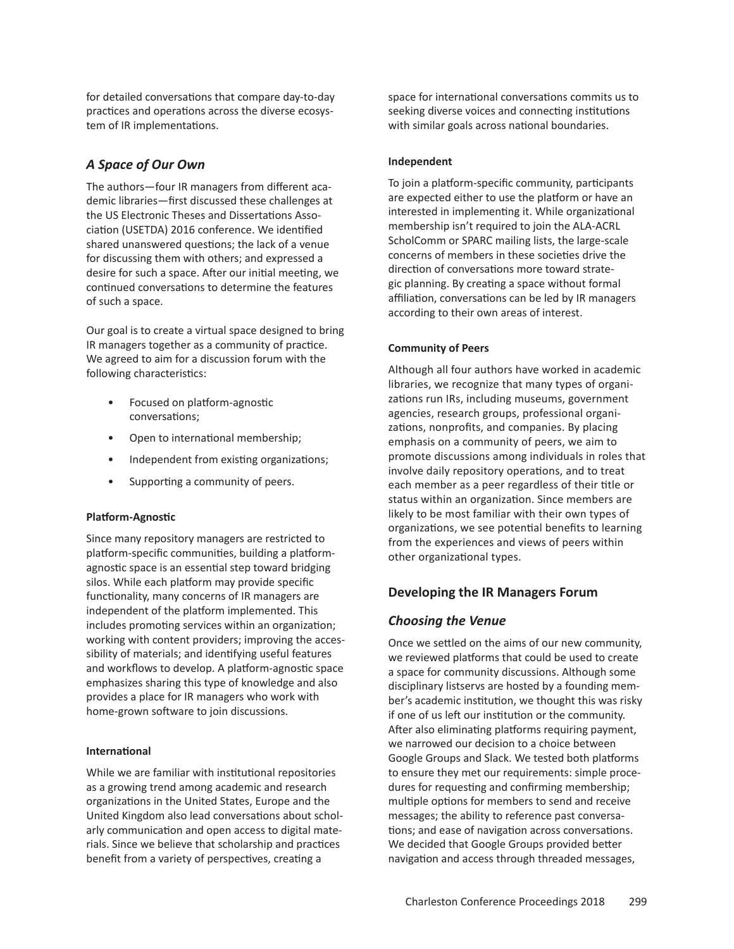for detailed conversations that compare day-to-day practices and operations across the diverse ecosystem of IR implementations.

# *A Space of Our Own*

The authors—four IR managers from different academic libraries—first discussed these challenges at the US Electronic Theses and Dissertations Association (USETDA) 2016 conference. We identified shared unanswered questions; the lack of a venue for discussing them with others; and expressed a desire for such a space. After our initial meeting, we continued conversations to determine the features of such a space.

Our goal is to create a virtual space designed to bring IR managers together as a community of practice. We agreed to aim for a discussion forum with the following characteristics:

- Focused on platform-agnostic conversations;
- Open to international membership;
- Independent from existing organizations;
- Supporting a community of peers.

# **Platform-Agnostic**

Since many repository managers are restricted to platform-specific communities, building a platform-agnostic space is an essential step toward bridging silos. While each platform may provide specific functionality, many concerns of IR managers are independent of the platform implemented. This includes promoting services within an organization; working with content providers; improving the accessibility of materials; and identifying useful features and workflows to develop. A platform-agnostic space emphasizes sharing this type of knowledge and also provides a place for IR managers who work with home-grown software to join discussions.

#### **International**

While we are familiar with institutional repositories as a growing trend among academic and research organizations in the United States, Europe and the United Kingdom also lead conversations about scholarly communication and open access to digital materials. Since we believe that scholarship and practices benefit from a variety of perspectives, creating a

space for international conversations commits us to seeking diverse voices and connecting institutions with similar goals across national boundaries.

#### **Independent**

To join a platform-specific community, participants are expected either to use the platform or have an interested in implementing it. While organizational membership isn't required to join the ALA-ACRL ScholComm or SPARC mailing lists, the large-scale concerns of members in these societies drive the direction of conversations more toward strategic planning. By creating a space without formal affiliation, conversations can be led by IR managers according to their own areas of interest.

#### **Community of Peers**

Although all four authors have worked in academic libraries, we recognize that many types of organizations run IRs, including museums, government agencies, research groups, professional organizations, nonprofits, and companies. By placing emphasis on a community of peers, we aim to promote discussions among individuals in roles that involve daily repository operations, and to treat each member as a peer regardless of their title or status within an organization. Since members are likely to be most familiar with their own types of organizations, we see potential benefits to learning from the experiences and views of peers within other organizational types.

# **Developing the IR Managers Forum**

# *Choosing the Venue*

Once we settled on the aims of our new community, we reviewed platforms that could be used to create a space for community discussions. Although some disciplinary listservs are hosted by a founding member's academic institution, we thought this was risky if one of us left our institution or the community. After also eliminating platforms requiring payment, we narrowed our decision to a choice between Google Groups and Slack. We tested both platforms to ensure they met our requirements: simple procedures for requesting and confirming membership; multiple options for members to send and receive messages; the ability to reference past conversations; and ease of navigation across conversations. We decided that Google Groups provided better navigation and access through threaded messages,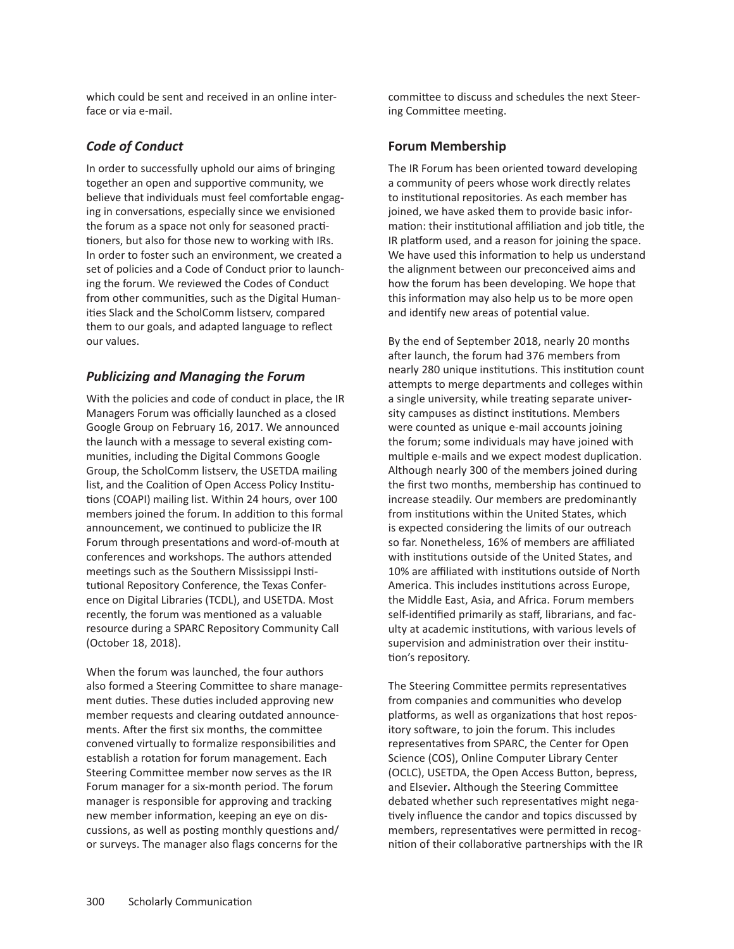which could be sent and received in an online interface or via e-mail.

# *Code of Conduct*

In order to successfully uphold our aims of bringing together an open and supportive community, we believe that individuals must feel comfortable engaging in conversations, especially since we envisioned the forum as a space not only for seasoned practitioners, but also for those new to working with IRs. In order to foster such an environment, we created a set of policies and a Code of Conduct prior to launching the forum. We reviewed the Codes of Conduct from other communities, such as the Digital Humanities Slack and the ScholComm listserv, compared them to our goals, and adapted language to reflect our values.

# *Publicizing and Managing the Forum*

With the policies and code of conduct in place, the IR Managers Forum was officially launched as a closed Google Group on February 16, 2017. We announced the launch with a message to several existing communities, including the Digital Commons Google Group, the ScholComm listserv, the USETDA mailing list, and the Coalition of Open Access Policy Institutions (COAPI) mailing list. Within 24 hours, over 100 members joined the forum. In addition to this formal announcement, we continued to publicize the IR Forum through presentations and word-of-mouth at conferences and workshops. The authors attended meetings such as the Southern Mississippi Institutional Repository Conference, the Texas Conference on Digital Libraries (TCDL), and USETDA. Most recently, the forum was mentioned as a valuable resource during a SPARC Repository Community Call (October 18, 2018).

When the forum was launched, the four authors also formed a Steering Committee to share management duties. These duties included approving new member requests and clearing outdated announcements. After the first six months, the committee convened virtually to formalize responsibilities and establish a rotation for forum management. Each Steering Committee member now serves as the IR Forum manager for a six-month period. The forum manager is responsible for approving and tracking new member information, keeping an eye on discussions, as well as posting monthly questions and/ or surveys. The manager also flags concerns for the

committee to discuss and schedules the next Steering Committee meeting.

# **Forum Membership**

The IR Forum has been oriented toward developing a community of peers whose work directly relates to institutional repositories. As each member has joined, we have asked them to provide basic information: their institutional affiliation and job title, the IR platform used, and a reason for joining the space. We have used this information to help us understand the alignment between our preconceived aims and how the forum has been developing. We hope that this information may also help us to be more open and identify new areas of potential value.

By the end of September 2018, nearly 20 months after launch, the forum had 376 members from nearly 280 unique institutions. This institution count attempts to merge departments and colleges within a single university, while treating separate university campuses as distinct institutions. Members were counted as unique e-mail accounts joining the forum; some individuals may have joined with multiple e-mails and we expect modest duplication. Although nearly 300 of the members joined during the first two months, membership has continued to increase steadily. Our members are predominantly from institutions within the United States, which is expected considering the limits of our outreach so far. Nonetheless, 16% of members are affiliated with institutions outside of the United States, and 10% are affiliated with institutions outside of North America. This includes institutions across Europe, the Middle East, Asia, and Africa. Forum members self-identified primarily as staff, librarians, and faculty at academic institutions, with various levels of supervision and administration over their institution's repository.

The Steering Committee permits representatives from companies and communities who develop platforms, as well as organizations that host repository software, to join the forum. This includes representatives from SPARC, the Center for Open Science (COS), Online Computer Library Center (OCLC), USETDA, the Open Access Button, bepress, and Elsevier**.** Although the Steering Committee debated whether such representatives might negatively influence the candor and topics discussed by members, representatives were permitted in recognition of their collaborative partnerships with the IR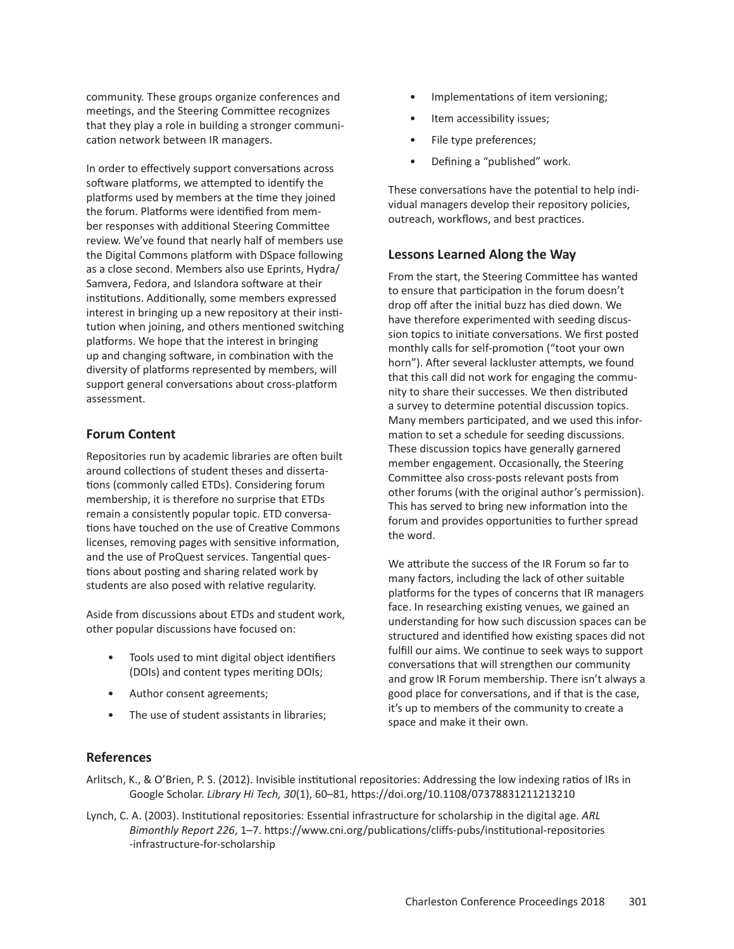community. These groups organize conferences and meetings, and the Steering Committee recognizes that they play a role in building a stronger communication network between IR managers.

In order to effectively support conversations across software platforms, we attempted to identify the platforms used by members at the time they joined the forum. Platforms were identified from member responses with additional Steering Committee review. We've found that nearly half of members use the Digital Commons platform with DSpace following as a close second. Members also use Eprints, Hydra/ Samvera, Fedora, and Islandora software at their institutions. Additionally, some members expressed interest in bringing up a new repository at their institution when joining, and others mentioned switching platforms. We hope that the interest in bringing up and changing software, in combination with the diversity of platforms represented by members, will support general conversations about cross-platform assessment.

# **Forum Content**

Repositories run by academic libraries are often built around collections of student theses and dissertations (commonly called ETDs). Considering forum membership, it is therefore no surprise that ETDs remain a consistently popular topic. ETD conversations have touched on the use of Creative Commons licenses, removing pages with sensitive information, and the use of ProQuest services. Tangential questions about posting and sharing related work by students are also posed with relative regularity.

Aside from discussions about ETDs and student work, other popular discussions have focused on:

- Tools used to mint digital object identifiers (DOIs) and content types meriting DOIs;
- Author consent agreements;
- The use of student assistants in libraries;
- Implementations of item versioning;
- Item accessibility issues;
- File type preferences;
- Defining a "published" work.

These conversations have the potential to help individual managers develop their repository policies, outreach, workflows, and best practices.

# **Lessons Learned Along the Way**

From the start, the Steering Committee has wanted to ensure that participation in the forum doesn't drop off after the initial buzz has died down. We have therefore experimented with seeding discussion topics to initiate conversations. We first posted monthly calls for self-promotion ("toot your own horn"). After several lackluster attempts, we found that this call did not work for engaging the community to share their successes. We then distributed a survey to determine potential discussion topics. Many members participated, and we used this information to set a schedule for seeding discussions. These discussion topics have generally garnered member engagement. Occasionally, the Steering Committee also cross-posts relevant posts from other forums (with the original author's permission). This has served to bring new information into the forum and provides opportunities to further spread the word.

We attribute the success of the IR Forum so far to many factors, including the lack of other suitable platforms for the types of concerns that IR managers face. In researching existing venues, we gained an understanding for how such discussion spaces can be structured and identified how existing spaces did not fulfill our aims. We continue to seek ways to support conversations that will strengthen our community and grow IR Forum membership. There isn't always a good place for conversations, and if that is the case, it's up to members of the community to create a space and make it their own.

# **References**

- Arlitsch, K., & O'Brien, P. S. (2012). Invisible institutional repositories: Addressing the low indexing ratios of IRs in Google Scholar. *Library Hi Tech, 30*(1), 60–81, https://doi.org/10.1108/07378831211213210
- Lynch, C. A. (2003). Institutional repositories: Essential infrastructure for scholarship in the digital age. *ARL Bimonthly Report 226*, 1–7. https://www.cni.org/publications/cliffs-pubs/institutional-repositories -infrastructure-for-scholarship